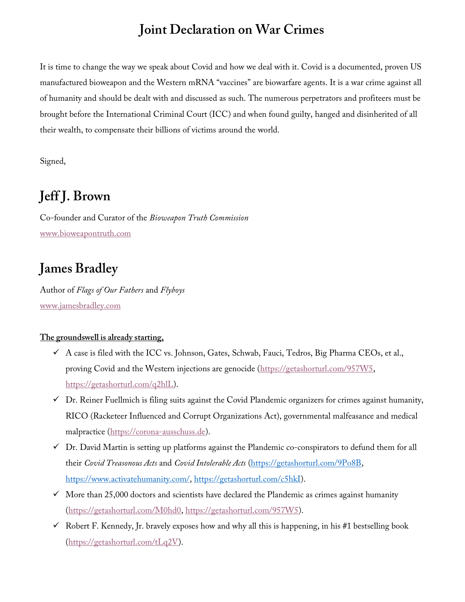## Joint Declaration on War Crimes

It is time to change the way we speak about Covid and how we deal with it. Covid is a documented, proven US manufactured bioweapon and the Western mRNA "vaccines" are biowarfare agents. It is a war crime against all of humanity and should be dealt with and discussed as such. The numerous perpetrators and profiteers must be brought before the International Criminal Court (ICC) and when found guilty, hanged and disinherited of all their wealth, to compensate their billions of victims around the world.

Signed,

## Jeff J. Brown

Co-founder and Curator of the Bioweapon Truth Commission www.bioweapontruth.com

## James Bradley

Author of Flags of Our Fathers and Flyboys www.jamesbradley.com

## The groundswell is already starting,

- $\checkmark$  A case is filed with the ICC vs. Johnson, Gates, Schwab, Fauci, Tedros, Big Pharma CEOs, et al., proving Covid and the Western injections are genocide (https://getashorturl.com/957W5, https://getashorturl.com/q2hlL).
- $\checkmark$  Dr. Reiner Fuellmich is filing suits against the Covid Plandemic organizers for crimes against humanity, RICO (Racketeer Influenced and Corrupt Organizations Act), governmental malfeasance and medical malpractice (https://corona-ausschuss.de).
- $\checkmark$  Dr. David Martin is setting up platforms against the Plandemic co-conspirators to defund them for all their Covid Treasonous Acts and Covid Intolerable Acts (https://getashorturl.com/9Po8B, https://www.activatehumanity.com/, https://getashorturl.com/c5hkI).
- $\checkmark$  More than 25,000 doctors and scientists have declared the Plandemic as crimes against humanity (https://getashorturl.com/M0hd0, https://getashorturl.com/957W5).
- $\checkmark$  Robert F. Kennedy, Jr. bravely exposes how and why all this is happening, in his #1 bestselling book (https://getashorturl.com/tLq2V).